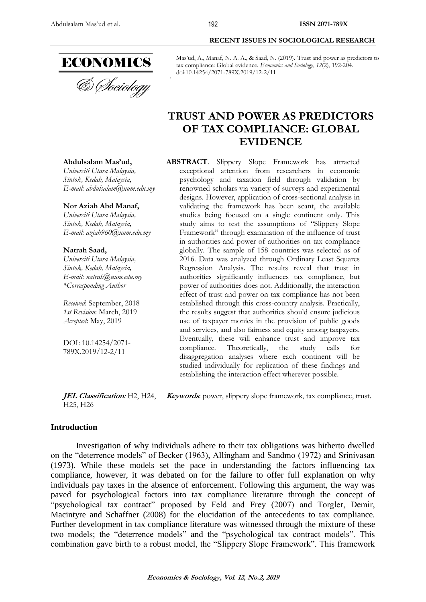

**Abdulsalam Mas'ud,** *Universiti Utara Malaysia, [Sintok, Kedah, Malaysia,](https://en.wikipedia.org/wiki/Podgorica)*

*E-mail: abdulsalam@uum.edu.my*

**Nor Aziah Abd Manaf,** *Universiti Utara Malaysia, [Sintok, Kedah, Malaysia,](https://en.wikipedia.org/wiki/Podgorica) E-mail: aziah960@uum.edu.my*

*Universiti Utara Malaysia, [Sintok, Kedah, Malaysia,](https://en.wikipedia.org/wiki/Podgorica) E-mail: natrah@uum.edu.my \*Corresponding Author*

*Received*: September, 2018 *1st Revision*: March, 2019 *Accepted*: May, 2019

DOI: 10.14254/2071- 789X.2019/12-2/11

**Natrah Saad,**

#### **RECENT ISSUES IN SOCIOLOGICAL RESEARCH**

Mas'ud, A., Manaf, N. A. A., & Saad, N. (2019). Trust and power as predictors to tax compliance: Global evidence. *Economics and Sociology*, *12*(2), 192-204. doi:10.14254/2071-789X.2019/12-2/11

# **TRUST AND POWER AS PREDICTORS OF TAX COMPLIANCE: GLOBAL EVIDENCE**

### **ABSTRACT**. Slippery Slope Framework has attracted exceptional attention from researchers in economic psychology and taxation field through validation by renowned scholars via variety of surveys and experimental designs. However, application of cross-sectional analysis in validating the framework has been scant, the available studies being focused on a single continent only. This study aims to test the assumptions of "Slippery Slope Framework" through examination of the influence of trust in authorities and power of authorities on tax compliance globally. The sample of 158 countries was selected as of 2016. Data was analyzed through Ordinary Least Squares Regression Analysis. The results reveal that trust in authorities significantly influences tax compliance, but power of authorities does not. Additionally, the interaction effect of trust and power on tax compliance has not been established through this cross-country analysis. Practically, the results suggest that authorities should ensure judicious use of taxpayer monies in the provision of public goods and services, and also fairness and equity among taxpayers. Eventually, these will enhance trust and improve tax compliance. Theoretically, the study calls for disaggregation analyses where each continent will be studied individually for replication of these findings and establishing the interaction effect wherever possible.

**JEL Classification***:* H2, H24, **Keywords**: power, slippery slope framework, tax compliance, trust. H25, H26

### **Introduction**

Investigation of why individuals adhere to their tax obligations was hitherto dwelled on the "deterrence models" of Becker (1963), Allingham and Sandmo (1972) and Srinivasan (1973). While these models set the pace in understanding the factors influencing tax compliance, however, it was debated on for the failure to offer full explanation on why individuals pay taxes in the absence of enforcement. Following this argument, the way was paved for psychological factors into tax compliance literature through the concept of "psychological tax contract" proposed by Feld and Frey (2007) and Torgler, Demir, Macintyre and Schaffner (2008) for the elucidation of the antecedents to tax compliance. Further development in tax compliance literature was witnessed through the mixture of these two models; the "deterrence models" and the "psychological tax contract models". This combination gave birth to a robust model, the "Slippery Slope Framework". This framework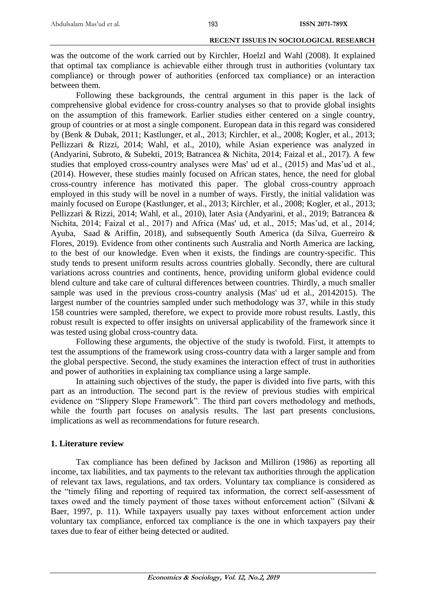was the outcome of the work carried out by Kirchler, Hoelzl and Wahl (2008). It explained that optimal tax compliance is achievable either through trust in authorities (voluntary tax compliance) or through power of authorities (enforced tax compliance) or an interaction between them.

Following these backgrounds, the central argument in this paper is the lack of comprehensive global evidence for cross-country analyses so that to provide global insights on the assumption of this framework. Earlier studies either centered on a single country, group of countries or at most a single component. European data in this regard was considered by (Benk & Dubak, 2011; Kastlunger, et al., 2013; Kirchler, et al., 2008; Kogler, et al., 2013; Pellizzari & Rizzi, 2014; Wahl, et al., 2010), while Asian experience was analyzed in (Andyarini, Subroto, & Subekti, 2019; Batrancea & Nichita, 2014; Faizal et al., 2017). A few studies that employed cross-country analyses were Mas' ud et al., (2015) and Mas'ud et al., (2014). However, these studies mainly focused on African states, hence, the need for global cross-country inference has motivated this paper. The global cross-country approach employed in this study will be novel in a number of ways. Firstly, the initial validation was mainly focused on Europe (Kastlunger, et al., 2013; Kirchler, et al., 2008; Kogler, et al., 2013; Pellizzari & Rizzi, 2014; Wahl, et al., 2010), later Asia (Andyarini, et al., 2019; Batrancea & Nichita, 2014; Faizal et al., 2017) and Africa (Mas' ud, et al., 2015; Mas'ud, et al., 2014; Ayuba, Saad & Ariffin, 2018), and subsequently South America (da Silva, Guerreiro & Flores, 2019). Evidence from other continents such Australia and North America are lacking, to the best of our knowledge. Even when it exists, the findings are country-specific. This study tends to present uniform results across countries globally. Secondly, there are cultural variations across countries and continents, hence, providing uniform global evidence could blend culture and take care of cultural differences between countries. Thirdly, a much smaller sample was used in the previous cross-country analysis (Mas' ud et al., 20142015). The largest number of the countries sampled under such methodology was 37, while in this study 158 countries were sampled, therefore, we expect to provide more robust results. Lastly, this robust result is expected to offer insights on universal applicability of the framework since it was tested using global cross-country data.

Following these arguments, the objective of the study is twofold. First, it attempts to test the assumptions of the framework using cross-country data with a larger sample and from the global perspective. Second, the study examines the interaction effect of trust in authorities and power of authorities in explaining tax compliance using a large sample.

In attaining such objectives of the study, the paper is divided into five parts, with this part as an introduction. The second part is the review of previous studies with empirical evidence on "Slippery Slope Framework". The third part covers methodology and methods, while the fourth part focuses on analysis results. The last part presents conclusions, implications as well as recommendations for future research.

# **1. Literature review**

Tax compliance has been defined by Jackson and Milliron (1986) as reporting all income, tax liabilities, and tax payments to the relevant tax authorities through the application of relevant tax laws, regulations, and tax orders. Voluntary tax compliance is considered as the "timely filing and reporting of required tax information, the correct self-assessment of taxes owed and the timely payment of those taxes without enforcement action" (Silvani & Baer, 1997, p. 11). While taxpayers usually pay taxes without enforcement action under voluntary tax compliance, enforced tax compliance is the one in which taxpayers pay their taxes due to fear of either being detected or audited.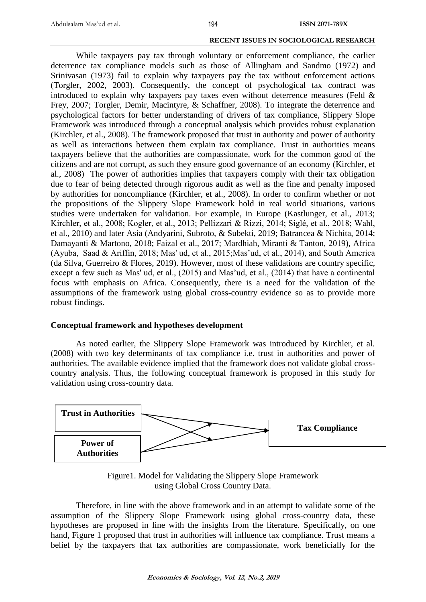While taxpayers pay tax through voluntary or enforcement compliance, the earlier deterrence tax compliance models such as those of Allingham and Sandmo (1972) and Srinivasan (1973) fail to explain why taxpayers pay the tax without enforcement actions (Torgler, 2002, 2003). Consequently, the concept of psychological tax contract was introduced to explain why taxpayers pay taxes even without deterrence measures (Feld & Frey, 2007; Torgler, Demir, Macintyre, & Schaffner, 2008). To integrate the deterrence and psychological factors for better understanding of drivers of tax compliance, Slippery Slope Framework was introduced through a conceptual analysis which provides robust explanation (Kirchler, et al., 2008). The framework proposed that trust in authority and power of authority as well as interactions between them explain tax compliance. Trust in authorities means taxpayers believe that the authorities are compassionate, work for the common good of the citizens and are not corrupt, as such they ensure good governance of an economy (Kirchler, et al., 2008) The power of authorities implies that taxpayers comply with their tax obligation due to fear of being detected through rigorous audit as well as the fine and penalty imposed by authorities for noncompliance (Kirchler, et al., 2008). In order to confirm whether or not the propositions of the Slippery Slope Framework hold in real world situations, various studies were undertaken for validation. For example, in Europe (Kastlunger, et al., 2013; Kirchler, et al., 2008; Kogler, et al., 2013; Pellizzari & Rizzi, 2014; Siglé, et al., 2018; Wahl, et al., 2010) and later Asia (Andyarini, Subroto, & Subekti, 2019; Batrancea & Nichita, 2014; Damayanti & Martono, 2018; Faizal et al., 2017; Mardhiah, Miranti & Tanton, 2019), Africa (Ayuba, Saad & Ariffin, 2018; Mas' ud, et al., 2015;Mas'ud, et al., 2014), and South America (da Silva, Guerreiro & Flores, 2019). However, most of these validations are country specific, except a few such as Mas' ud, et al., (2015) and Mas'ud, et al., (2014) that have a continental focus with emphasis on Africa. Consequently, there is a need for the validation of the assumptions of the framework using global cross-country evidence so as to provide more robust findings.

### **Conceptual framework and hypotheses development**

As noted earlier, the Slippery Slope Framework was introduced by Kirchler, et al. (2008) with two key determinants of tax compliance i.e. trust in authorities and power of authorities. The available evidence implied that the framework does not validate global crosscountry analysis. Thus, the following conceptual framework is proposed in this study for validation using cross-country data.



Figure1. Model for Validating the Slippery Slope Framework using Global Cross Country Data.

Therefore, in line with the above framework and in an attempt to validate some of the assumption of the Slippery Slope Framework using global cross-country data, these hypotheses are proposed in line with the insights from the literature. Specifically, on one hand, Figure 1 proposed that trust in authorities will influence tax compliance. Trust means a belief by the taxpayers that tax authorities are compassionate, work beneficially for the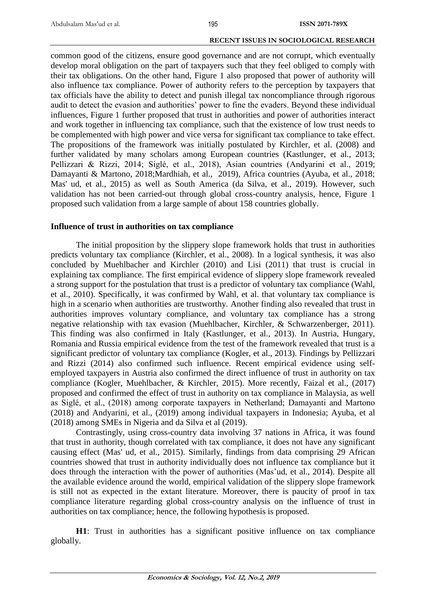common good of the citizens, ensure good governance and are not corrupt, which eventually develop moral obligation on the part of taxpayers such that they feel obliged to comply with their tax obligations. On the other hand, Figure 1 also proposed that power of authority will also influence tax compliance. Power of authority refers to the perception by taxpayers that tax officials have the ability to detect and punish illegal tax noncompliance through rigorous audit to detect the evasion and authorities' power to fine the evaders. Beyond these individual influences, Figure 1 further proposed that trust in authorities and power of authorities interact and work together in influencing tax compliance, such that the existence of low trust needs to be complemented with high power and vice versa for significant tax compliance to take effect. The propositions of the framework was initially postulated by Kirchler, et al. (2008) and further validated by many scholars among European countries (Kastlunger, et al., 2013; Pellizzari & Rizzi, 2014; Siglé, et al., 2018), Asian countries (Andyarini et al., 2019; Damayanti & Martono, 2018;Mardhiah, et al., 2019), Africa countries (Ayuba, et al., 2018; Mas' ud, et al., 2015) as well as South America (da Silva, et al., 2019). However, such validation has not been carried-out through global cross-country analysis, hence, Figure 1 proposed such validation from a large sample of about 158 countries globally.

# **Influence of trust in authorities on tax compliance**

The initial proposition by the slippery slope framework holds that trust in authorities predicts voluntary tax compliance (Kirchler, et al., 2008). In a logical synthesis, it was also concluded by Muehlbacher and Kirchler (2010) and Lisi (2011) that trust is crucial in explaining tax compliance. The first empirical evidence of slippery slope framework revealed a strong support for the postulation that trust is a predictor of voluntary tax compliance (Wahl, et al., 2010). Specifically, it was confirmed by Wahl, et al. that voluntary tax compliance is high in a scenario when authorities are trustworthy. Another finding also revealed that trust in authorities improves voluntary compliance, and voluntary tax compliance has a strong negative relationship with tax evasion (Muehlbacher, Kirchler, & Schwarzenberger, 2011). This finding was also confirmed in Italy (Kastlunger, et al., 2013). In Austria, Hungary, Romania and Russia empirical evidence from the test of the framework revealed that trust is a significant predictor of voluntary tax compliance (Kogler, et al., 2013). Findings by Pellizzari and Rizzi (2014) also confirmed such influence. Recent empirical evidence using selfemployed taxpayers in Austria also confirmed the direct influence of trust in authority on tax compliance (Kogler, Muehlbacher, & Kirchler, 2015). More recently, Faizal et al., (2017) proposed and confirmed the effect of trust in authority on tax compliance in Malaysia, as well as Siglé, et al., (2018) among corporate taxpayers in Netherland; Damayanti and Martono (2018) and Andyarini, et al., (2019) among individual taxpayers in Indonesia; Ayuba, et al (2018) among SMEs in Nigeria and da Silva et al (2019).

Contrastingly, using cross-country data involving 37 nations in Africa, it was found that trust in authority, though correlated with tax compliance, it does not have any significant causing effect (Mas' ud, et al., 2015). Similarly, findings from data comprising 29 African countries showed that trust in authority individually does not influence tax compliance but it does through the interaction with the power of authorities (Mas'ud, et al., 2014). Despite all the available evidence around the world, empirical validation of the slippery slope framework is still not as expected in the extant literature. Moreover, there is paucity of proof in tax compliance literature regarding global cross-country analysis on the influence of trust in authorities on tax compliance; hence, the following hypothesis is proposed.

**H1**: Trust in authorities has a significant positive influence on tax compliance globally.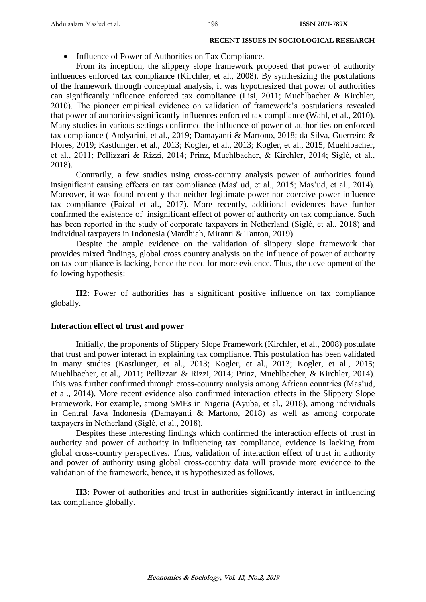• Influence of Power of Authorities on Tax Compliance.

From its inception, the slippery slope framework proposed that power of authority influences enforced tax compliance (Kirchler, et al., 2008). By synthesizing the postulations of the framework through conceptual analysis, it was hypothesized that power of authorities can significantly influence enforced tax compliance (Lisi, 2011; Muehlbacher & Kirchler, 2010). The pioneer empirical evidence on validation of framework's postulations revealed that power of authorities significantly influences enforced tax compliance (Wahl, et al., 2010). Many studies in various settings confirmed the influence of power of authorities on enforced tax compliance ( Andyarini, et al., 2019; Damayanti & Martono, 2018; da Silva, Guerreiro & Flores, 2019; Kastlunger, et al., 2013; Kogler, et al., 2013; Kogler, et al., 2015; Muehlbacher, et al., 2011; Pellizzari & Rizzi, 2014; Prinz, Muehlbacher, & Kirchler, 2014; Siglé, et al., 2018).

Contrarily, a few studies using cross-country analysis power of authorities found insignificant causing effects on tax compliance (Mas' ud, et al., 2015; Mas'ud, et al., 2014). Moreover, it was found recently that neither legitimate power nor coercive power influence tax compliance (Faizal et al., 2017). More recently, additional evidences have further confirmed the existence of insignificant effect of power of authority on tax compliance. Such has been reported in the study of corporate taxpayers in Netherland (Siglé, et al., 2018) and individual taxpayers in Indonesia (Mardhiah, Miranti & Tanton, 2019).

Despite the ample evidence on the validation of slippery slope framework that provides mixed findings, global cross country analysis on the influence of power of authority on tax compliance is lacking, hence the need for more evidence. Thus, the development of the following hypothesis:

**H2**: Power of authorities has a significant positive influence on tax compliance globally.

### **Interaction effect of trust and power**

Initially, the proponents of Slippery Slope Framework (Kirchler, et al., 2008) postulate that trust and power interact in explaining tax compliance. This postulation has been validated in many studies (Kastlunger, et al., 2013; Kogler, et al., 2013; Kogler, et al., 2015; Muehlbacher, et al., 2011; Pellizzari & Rizzi, 2014; Prinz, Muehlbacher, & Kirchler, 2014). This was further confirmed through cross-country analysis among African countries (Mas'ud, et al., 2014). More recent evidence also confirmed interaction effects in the Slippery Slope Framework. For example, among SMEs in Nigeria (Ayuba, et al., 2018), among individuals in Central Java Indonesia (Damayanti & Martono, 2018) as well as among corporate taxpayers in Netherland (Siglé, et al., 2018).

Despites these interesting findings which confirmed the interaction effects of trust in authority and power of authority in influencing tax compliance, evidence is lacking from global cross-country perspectives. Thus, validation of interaction effect of trust in authority and power of authority using global cross-country data will provide more evidence to the validation of the framework, hence, it is hypothesized as follows.

**H3:** Power of authorities and trust in authorities significantly interact in influencing tax compliance globally.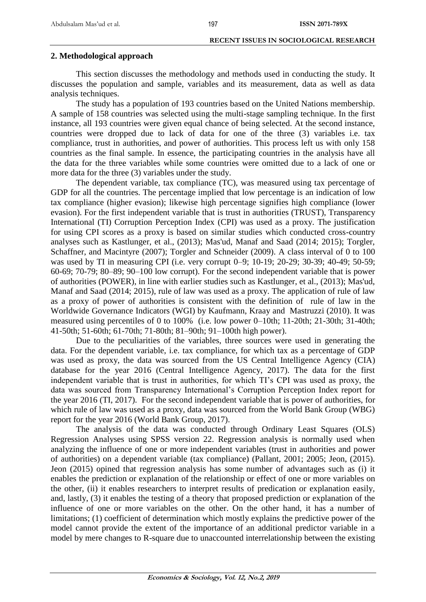#### 197

#### **RECENT ISSUES IN SOCIOLOGICAL RESEARCH**

### **2. Methodological approach**

This section discusses the methodology and methods used in conducting the study. It discusses the population and sample, variables and its measurement, data as well as data analysis techniques.

The study has a population of 193 countries based on the United Nations membership. A sample of 158 countries was selected using the multi-stage sampling technique. In the first instance, all 193 countries were given equal chance of being selected. At the second instance, countries were dropped due to lack of data for one of the three (3) variables i.e. tax compliance, trust in authorities, and power of authorities. This process left us with only 158 countries as the final sample. In essence, the participating countries in the analysis have all the data for the three variables while some countries were omitted due to a lack of one or more data for the three (3) variables under the study.

The dependent variable, tax compliance (TC), was measured using tax percentage of GDP for all the countries. The percentage implied that low percentage is an indication of low tax compliance (higher evasion); likewise high percentage signifies high compliance (lower evasion). For the first independent variable that is trust in authorities (TRUST), Transparency International (TI) Corruption Perception Index (CPI) was used as a proxy. The justification for using CPI scores as a proxy is based on similar studies which conducted cross-country analyses such as Kastlunger, et al., (2013); Mas'ud, Manaf and Saad (2014; 2015); Torgler, Schaffner, and Macintyre (2007); Torgler and Schneider (2009). A class interval of 0 to 100 was used by TI in measuring CPI (i.e. very corrupt 0–9; 10-19; 20-29; 30-39; 40-49; 50-59; 60-69; 70-79; 80–89; 90–100 low corrupt). For the second independent variable that is power of authorities (POWER), in line with earlier studies such as Kastlunger, et al., (2013); Mas'ud, Manaf and Saad (2014; 2015), rule of law was used as a proxy. The application of rule of law as a proxy of power of authorities is consistent with the definition of rule of law in the Worldwide Governance Indicators (WGI) by Kaufmann, Kraay and Mastruzzi (2010). It was measured using percentiles of 0 to 100% (i.e. low power 0–10th; 11-20th; 21-30th; 31-40th; 41-50th; 51-60th; 61-70th; 71-80th; 81–90th; 91–100th high power).

Due to the peculiarities of the variables, three sources were used in generating the data. For the dependent variable, i.e. tax compliance, for which tax as a percentage of GDP was used as proxy, the data was sourced from the US Central Intelligence Agency (CIA) database for the year 2016 (Central Intelligence Agency, 2017). The data for the first independent variable that is trust in authorities, for which TI's CPI was used as proxy, the data was sourced from Transparency International's Corruption Perception Index report for the year 2016 (TI, 2017). For the second independent variable that is power of authorities, for which rule of law was used as a proxy, data was sourced from the World Bank Group (WBG) report for the year 2016 (World Bank Group, 2017).

The analysis of the data was conducted through Ordinary Least Squares (OLS) Regression Analyses using SPSS version 22. Regression analysis is normally used when analyzing the influence of one or more independent variables (trust in authorities and power of authorities) on a dependent variable (tax compliance) (Pallant, 2001; 2005; Jeon, (2015). Jeon (2015) opined that regression analysis has some number of advantages such as (i) it enables the prediction or explanation of the relationship or effect of one or more variables on the other, (ii) it enables researchers to interpret results of predication or explanation easily, and, lastly, (3) it enables the testing of a theory that proposed prediction or explanation of the influence of one or more variables on the other. On the other hand, it has a number of limitations; (1) coefficient of determination which mostly explains the predictive power of the model cannot provide the extent of the importance of an additional predictor variable in a model by mere changes to R-square due to unaccounted interrelationship between the existing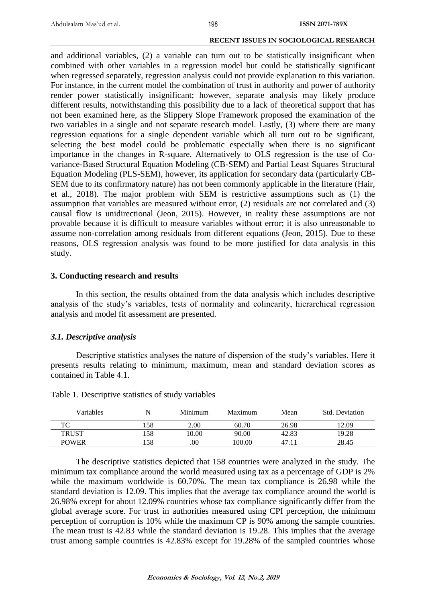and additional variables, (2) a variable can turn out to be statistically insignificant when combined with other variables in a regression model but could be statistically significant when regressed separately, regression analysis could not provide explanation to this variation. For instance, in the current model the combination of trust in authority and power of authority render power statistically insignificant; however, separate analysis may likely produce different results, notwithstanding this possibility due to a lack of theoretical support that has not been examined here, as the Slippery Slope Framework proposed the examination of the two variables in a single and not separate research model. Lastly, (3) where there are many regression equations for a single dependent variable which all turn out to be significant, selecting the best model could be problematic especially when there is no significant importance in the changes in R-square. Alternatively to OLS regression is the use of Covariance-Based Structural Equation Modeling (CB-SEM) and Partial Least Squares Structural Equation Modeling (PLS-SEM), however, its application for secondary data (particularly CB-SEM due to its confirmatory nature) has not been commonly applicable in the literature (Hair, et al., 2018). The major problem with SEM is restrictive assumptions such as (1) the assumption that variables are measured without error, (2) residuals are not correlated and (3) causal flow is unidirectional (Jeon, 2015). However, in reality these assumptions are not provable because it is difficult to measure variables without error; it is also unreasonable to assume non-correlation among residuals from different equations (Jeon, 2015). Due to these reasons, OLS regression analysis was found to be more justified for data analysis in this study.

### **3. Conducting research and results**

In this section, the results obtained from the data analysis which includes descriptive analysis of the study's variables, tests of normality and colinearity, hierarchical regression analysis and model fit assessment are presented.

# *3.1. Descriptive analysis*

Descriptive statistics analyses the nature of dispersion of the study's variables. Here it presents results relating to minimum, maximum, mean and standard deviation scores as contained in Table 4.1.

| Variables    | N   | Minimum | Maximum | Mean  | Std. Deviation |
|--------------|-----|---------|---------|-------|----------------|
| TC           | 158 | 2.00    | 60.70   | 26.98 | 12.09          |
| <b>TRUST</b> | 158 | 10.00   | 90.00   | 42.83 | 19.28          |
| <b>POWER</b> | 158 | .00     | 100.00  | 47    | 28.45          |

Table 1. Descriptive statistics of study variables

The descriptive statistics depicted that 158 countries were analyzed in the study. The minimum tax compliance around the world measured using tax as a percentage of GDP is 2% while the maximum worldwide is 60.70%. The mean tax compliance is 26.98 while the standard deviation is 12.09. This implies that the average tax compliance around the world is 26.98% except for about 12.09% countries whose tax compliance significantly differ from the global average score. For trust in authorities measured using CPI perception, the minimum perception of corruption is 10% while the maximum CP is 90% among the sample countries. The mean trust is 42.83 while the standard deviation is 19.28. This implies that the average trust among sample countries is 42.83% except for 19.28% of the sampled countries whose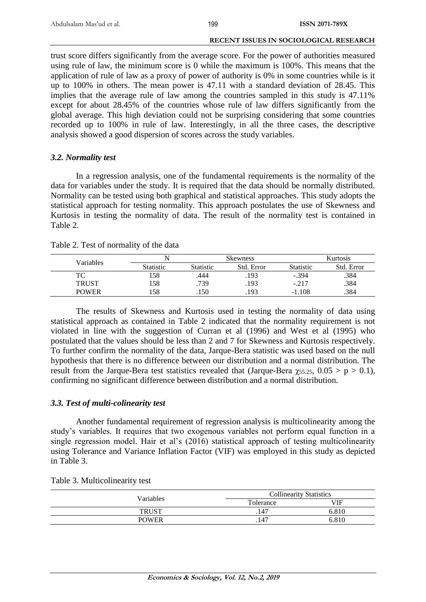199

### **RECENT ISSUES IN SOCIOLOGICAL RESEARCH**

trust score differs significantly from the average score. For the power of authorities measured using rule of law, the minimum score is 0 while the maximum is 100%. This means that the application of rule of law as a proxy of power of authority is 0% in some countries while is it up to 100% in others. The mean power is 47.11 with a standard deviation of 28.45. This implies that the average rule of law among the countries sampled in this study is 47.11% except for about 28.45% of the countries whose rule of law differs significantly from the global average. This high deviation could not be surprising considering that some countries recorded up to 100% in rule of law. Interestingly, in all the three cases, the descriptive analysis showed a good dispersion of scores across the study variables.

# *3.2. Normality test*

In a regression analysis, one of the fundamental requirements is the normality of the data for variables under the study. It is required that the data should be normally distributed. Normality can be tested using both graphical and statistical approaches. This study adopts the statistical approach for testing normality. This approach postulates the use of Skewness and Kurtosis in testing the normality of data. The result of the normality test is contained in Table 2.

| Variables    |           |                  | <b>Skewness</b> | <b>Kurtosis</b>  |            |  |
|--------------|-----------|------------------|-----------------|------------------|------------|--|
|              | Statistic | <b>Statistic</b> | Std. Error      | <b>Statistic</b> | Std. Error |  |
| TC           | .58       | .444             | .193            | $-.394$          | .384       |  |
| <b>TRUST</b> | !58       | .739             | .193            | $-.217$          | .384       |  |
| <b>POWER</b> | .58       | .150             | .193            | $-1.108$         | .384       |  |

The results of Skewness and Kurtosis used in testing the normality of data using statistical approach as contained in Table 2 indicated that the normality requirement is not violated in line with the suggestion of Curran et al (1996) and West et al (1995) who postulated that the values should be less than 2 and 7 for Skewness and Kurtosis respectively. To further confirm the normality of the data, Jarque-Bera statistic was used based on the null hypothesis that there is no difference between our distribution and a normal distribution. The result from the Jarque-Bera test statistics revealed that (Jarque-Bera  $\gamma_{55.25}$ , 0.05 > p > 0.1), confirming no significant difference between distribution and a normal distribution.

# *3.3. Test of multi-colinearity test*

Another fundamental requirement of regression analysis is multicolinearity among the study's variables. It requires that two exogenous variables not perform equal function in a single regression model. Hair et al's (2016) statistical approach of testing multicolinearity using Tolerance and Variance Inflation Factor (VIF) was employed in this study as depicted in Table 3.

| <b>Variables</b> | <b>Collinearity Statistics</b> |            |  |  |
|------------------|--------------------------------|------------|--|--|
|                  | Tolerance<br>.147<br>.147      | <b>VIF</b> |  |  |
| <b>TRUST</b>     |                                | 6.810      |  |  |
| <b>POWER</b>     |                                | 6.810      |  |  |

|  |  |  | Table 3. Multicolinearity test |  |  |
|--|--|--|--------------------------------|--|--|
|--|--|--|--------------------------------|--|--|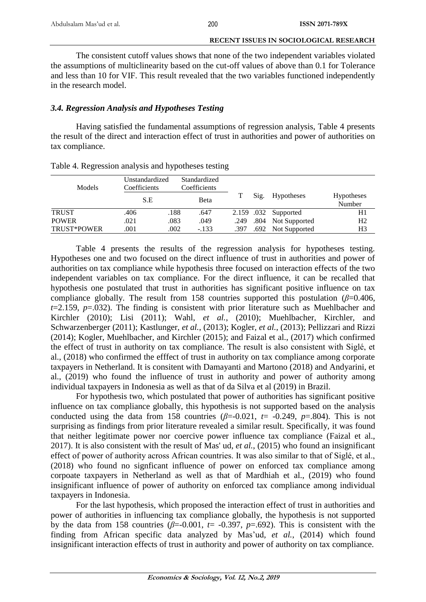The consistent cutoff values shows that none of the two independent variables violated the assumptions of multiclinearity based on the cut-off values of above than 0.1 for Tolerance and less than 10 for VIF. This result revealed that the two variables functioned independently in the research model.

# *3.4. Regression Analysis and Hypotheses Testing*

Having satisfied the fundamental assumptions of regression analysis, Table 4 presents the result of the direct and interaction effect of trust in authorities and power of authorities on tax compliance.

| Models       | Unstandardized<br>Coefficients |      | Standardized<br>Coefficients |      |      |                      |                      |
|--------------|--------------------------------|------|------------------------------|------|------|----------------------|----------------------|
|              | S.E                            |      | Beta                         |      | Sig. | Hypotheses           | Hypotheses<br>Number |
| <b>TRUST</b> | .406                           | .188 | .647                         |      |      | 2.159 .032 Supported | H1                   |
| <b>POWER</b> | .021                           | .083 | .049                         | .249 |      | .804 Not Supported   | H <sub>2</sub>       |
| TRUST*POWER  | .001                           | .002 | $-133$                       | .397 |      | .692 Not Supported   | H3                   |

Table 4. Regression analysis and hypotheses testing

Table 4 presents the results of the regression analysis for hypotheses testing. Hypotheses one and two focused on the direct influence of trust in authorities and power of authorities on tax compliance while hypothesis three focused on interaction effects of the two independent variables on tax compliance. For the direct influence, it can be recalled that hypothesis one postulated that trust in authorities has significant positive influence on tax compliance globally. The result from 158 countries supported this postulation ( $\beta$ =0.406, *t*=2.159, *p*=.032). The finding is consistent with prior literature such as Muehlbacher and Kirchler [\(2010\)](#page-11-0); Lisi (2011); Wahl*[, et al.](#page-12-0)*, (2010); Muehlbacher, Kirchler, and Schwarzenberger (2011); [Kastlunger](#page-11-1)*, et al.*, (2013); [Kogler](#page-11-2)*, et al.*, (2013); Pellizzari and Rizzi [\(2014\)](#page-11-3); [Kogler, Muehlbacher, and Kirchler \(2015\)](#page-11-4); and Faizal et al., (2017) which confirmed the effect of trust in authority on tax compliance. The result is also consistent with Siglé, et al., (2018) who confirmed the efffect of trust in authority on tax compliance among corporate taxpayers in Netherland. It is consitent with Damayanti and Martono (2018) and Andyarini, et al., (2019) who found the influence of trust in authority and power of authority among individual taxpayers in Indonesia as well as that of da Silva et al (2019) in Brazil.

For hypothesis two, which postulated that power of authorities has significant positive influence on tax compliance globally, this hypothesis is not supported based on the analysis conducted using the data from 158 countries  $(\beta = 0.021, t = -0.249, p = .804)$ . This is not surprising as findings from prior literature revealed a similar result. Specifically, it was found that neither legitimate power nor coercive power influence tax compliance (Faizal et al., 2017). It is also consistent with the result of [Mas' ud](#page-11-5)*, et al.*, (2015) who found an insignificant effect of power of authority across African countries. It was also similar to that of Siglé, et al., (2018) who found no signficant influence of power on enforced tax compliance among corpoate taxpayers in Netherland as well as that of Mardhiah et al., (2019) who found insignificant influence of power of authority on enforced tax compliance among individual taxpayers in Indonesia.

For the last hypothesis, which proposed the interaction effect of trust in authorities and power of authorities in influencing tax compliance globally, the hypothesis is not supported by the data from 158 countries  $(\beta = 0.001, t = -0.397, p = .692)$ . This is consistent with the finding from African specific data analyzed by Mas'ud*, et al.*[, \(2014\)](#page-10-0) which found insignificant interaction effects of trust in authority and power of authority on tax compliance.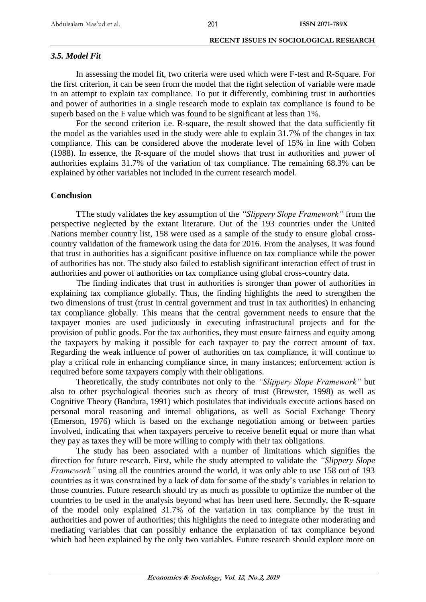### *3.5. Model Fit*

In assessing the model fit, two criteria were used which were F-test and R-Square. For the first criterion, it can be seen from the model that the right selection of variable were made in an attempt to explain tax compliance. To put it differently, combining trust in authorities and power of authorities in a single research mode to explain tax compliance is found to be superb based on the F value which was found to be significant at less than 1%.

For the second criterion i.e. R-square, the result showed that the data sufficiently fit the model as the variables used in the study were able to explain 31.7% of the changes in tax compliance. This can be considered above the moderate level of 15% in line with Cohen [\(1988\)](#page-11-2). In essence, the R-square of the model shows that trust in authorities and power of authorities explains 31.7% of the variation of tax compliance. The remaining 68.3% can be explained by other variables not included in the current research model.

### **Conclusion**

TThe study validates the key assumption of the *"Slippery Slope Framework"* from the perspective neglected by the extant literature. Out of the 193 countries under the United Nations member country list, 158 were used as a sample of the study to ensure global crosscountry validation of the framework using the data for 2016. From the analyses, it was found that trust in authorities has a significant positive influence on tax compliance while the power of authorities has not. The study also failed to establish significant interaction effect of trust in authorities and power of authorities on tax compliance using global cross-country data.

The finding indicates that trust in authorities is stronger than power of authorities in explaining tax compliance globally. Thus, the finding highlights the need to strengthen the two dimensions of trust (trust in central government and trust in tax authorities) in enhancing tax compliance globally. This means that the central government needs to ensure that the taxpayer monies are used judiciously in executing infrastructural projects and for the provision of public goods. For the tax authorities, they must ensure fairness and equity among the taxpayers by making it possible for each taxpayer to pay the correct amount of tax. Regarding the weak influence of power of authorities on tax compliance, it will continue to play a critical role in enhancing compliance since, in many instances; enforcement action is required before some taxpayers comply with their obligations.

Theoretically, the study contributes not only to the *"Slippery Slope Framework"* but also to other psychological theories such as theory of trust (Brewster, 1998) as well as Cognitive Theory (Bandura, 1991) which postulates that individuals execute actions based on personal moral reasoning and internal obligations, as well as Social Exchange Theory (Emerson, 1976) which is based on the exchange negotiation among or between parties involved, indicating that when taxpayers perceive to receive benefit equal or more than what they pay as taxes they will be more willing to comply with their tax obligations.

The study has been associated with a number of limitations which signifies the direction for future research. First, while the study attempted to validate the *"Slippery Slope Framework"* using all the countries around the world, it was only able to use 158 out of 193 countries as it was constrained by a lack of data for some of the study's variables in relation to those countries. Future research should try as much as possible to optimize the number of the countries to be used in the analysis beyond what has been used here. Secondly, the R-square of the model only explained 31.7% of the variation in tax compliance by the trust in authorities and power of authorities; this highlights the need to integrate other moderating and mediating variables that can possibly enhance the explanation of tax compliance beyond which had been explained by the only two variables. Future research should explore more on

**Economics & Sociology, Vol. 12, No.2, 2019**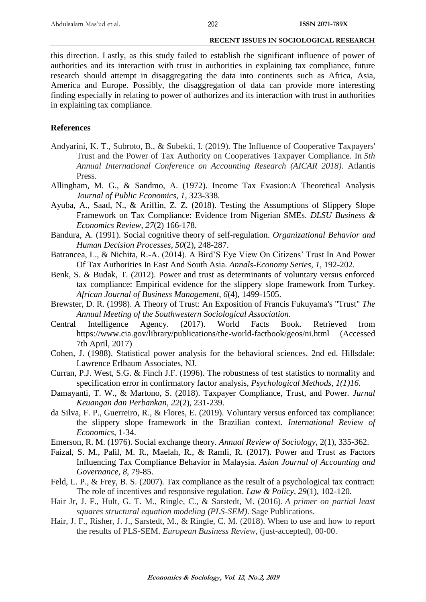this direction. Lastly, as this study failed to establish the significant influence of power of authorities and its interaction with trust in authorities in explaining tax compliance, future research should attempt in disaggregating the data into continents such as Africa, Asia, America and Europe. Possibly, the disaggregation of data can provide more interesting finding especially in relating to power of authorizes and its interaction with trust in authorities in explaining tax compliance.

### **References**

- Andyarini, K. T., Subroto, B., & Subekti, I. (2019). The Influence of Cooperative Taxpayers' Trust and the Power of Tax Authority on Cooperatives Taxpayer Compliance. In *5th Annual International Conference on Accounting Research (AICAR 2018)*. Atlantis Press.
- Allingham, M. G., & Sandmo, A. (1972). Income Tax Evasion:A Theoretical Analysis *Journal of Public Economics, 1*, 323-338.
- Ayuba, A., Saad, N., & Ariffin, Z. Z. (2018). Testing the Assumptions of Slippery Slope Framework on Tax Compliance: Evidence from Nigerian SMEs. *DLSU Business & Economics Review*, *27*(2) 166-178.
- Bandura, A. (1991). Social cognitive theory of self-regulation. *Organizational Behavior and Human Decision Processes*, *50*(2), 248-287.
- Batrancea, L., & Nichita, R.-A. (2014). A Bird'S Eye View On Citizens' Trust In And Power Of Tax Authorities In East And South Asia. *Annals-Economy Series, 1*, 192-202.
- Benk, S. & Budak, T. (2012). Power and trust as determinants of voluntary versus enforced tax compliance: Empirical evidence for the slippery slope framework from Turkey. *African Journal of Business Management*, *6*(4), 1499-1505.
- <span id="page-10-0"></span>Brewster, D. R. (1998). A Theory of Trust: An Exposition of Francis Fukuyama's "Trust" *The Annual Meeting of the Southwestern Sociological Association.*
- Central Intelligence Agency. (2017). World Facts Book. Retrieved from https:/[/www.cia.gov/library/publications/the-world-factbook/geos/ni.html](http://www.cia.gov/library/publications/the-world-factbook/geos/ni.html) (Accessed 7th April, 2017)
- Cohen, J. (1988). Statistical power analysis for the behavioral sciences. 2nd ed. Hillsdale: Lawrence Erlbaum Associates, NJ.
- Curran, P.J. West, S.G. & Finch J.F. (1996). The robustness of test statistics to normality and specification error in confirmatory factor analysis, *Psychological Methods, 1(1)16.*
- Damayanti, T. W., & Martono, S. (2018). Taxpayer Compliance, Trust, and Power. *Jurnal Keuangan dan Perbankan*, *22*(2), 231-239.
- da Silva, F. P., Guerreiro, R., & Flores, E. (2019). Voluntary versus enforced tax compliance: the slippery slope framework in the Brazilian context. *International Review of Economics*, 1-34.
- Emerson, R. M. (1976). Social exchange theory. *Annual Review of Sociology*, 2(1), 335-362.
- Faizal, S. M., Palil, M. R., Maelah, R., & Ramli, R. (2017). Power and Trust as Factors Influencing Tax Compliance Behavior in Malaysia. *Asian Journal of Accounting and Governance*, *8*, 79-85.
- Feld, L. P., & Frey, B. S. (2007). Tax compliance as the result of a psychological tax contract: The role of incentives and responsive regulation. *Law & Policy, 29*(1), 102-120.
- Hair Jr, J. F., Hult, G. T. M., Ringle, C., & Sarstedt, M. (2016). *A primer on partial least squares structural equation modeling (PLS-SEM)*. Sage Publications.
- Hair, J. F., Risher, J. J., Sarstedt, M., & Ringle, C. M. (2018). When to use and how to report the results of PLS-SEM. *European Business Review*, (just-accepted), 00-00.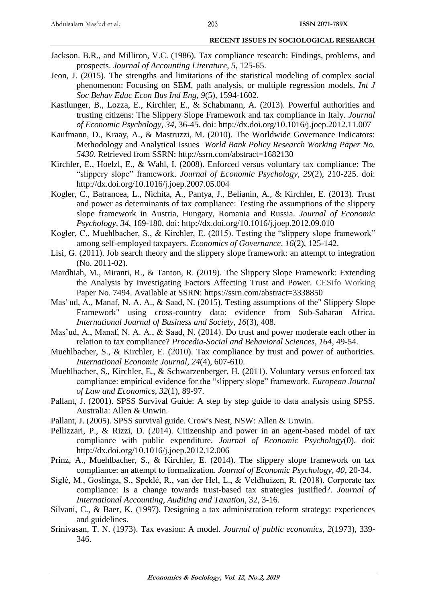- Jackson. B.R., and Milliron, V.C. (1986). Tax compliance research: Findings, problems, and prospects. *Journal of Accounting Literature*, *5*, 125-65.
- Jeon, J. (2015). The strengths and limitations of the statistical modeling of complex social phenomenon: Focusing on SEM, path analysis, or multiple regression models. *Int J Soc Behav Educ Econ Bus Ind Eng*, *9*(5), 1594-1602.
- <span id="page-11-1"></span>Kastlunger, B., Lozza, E., Kirchler, E., & Schabmann, A. (2013). Powerful authorities and trusting citizens: The Slippery Slope Framework and tax compliance in Italy. *Journal of Economic Psychology, 34*, 36-45. doi:<http://dx.doi.org/10.1016/j.joep.2012.11.007>
- Kaufmann, D., Kraay, A., & Mastruzzi, M. (2010). The Worldwide Governance Indicators: Methodology and Analytical Issues *World Bank Policy Research Working Paper No. 5430*. Retrieved from SSRN:<http://ssrn.com/abstract=1682130>
- Kirchler, E., Hoelzl, E., & Wahl, I. (2008). Enforced versus voluntary tax compliance: The "slippery slope" framework. *Journal of Economic Psychology, 29*(2), 210-225. doi: <http://dx.doi.org/10.1016/j.joep.2007.05.004>
- <span id="page-11-2"></span>Kogler, C., Batrancea, L., Nichita, A., Pantya, J., Belianin, A., & Kirchler, E. (2013). Trust and power as determinants of tax compliance: Testing the assumptions of the slippery slope framework in Austria, Hungary, Romania and Russia. *Journal of Economic Psychology, 34*, 169-180. doi:<http://dx.doi.org/10.1016/j.joep.2012.09.010>
- <span id="page-11-4"></span>Kogler, C., Muehlbacher, S., & Kirchler, E. (2015). Testing the "slippery slope framework" among self-employed taxpayers. *Economics of Governance, 16*(2), 125-142.
- Lisi, G. (2011). Job search theory and the slippery slope framework: an attempt to integration (No. 2011-02).
- Mardhiah, M., Miranti, R., & Tanton, R. (2019). The Slippery Slope Framework: Extending the Analysis by Investigating Factors Affecting Trust and Power. CESifo Working Paper No. 7494. Available at SSRN: https://ssrn.com/abstract=3338850
- <span id="page-11-5"></span>Mas' ud, A., Manaf, N. A. A., & Saad, N. (2015). Testing assumptions of the" Slippery Slope Framework" using cross-country data: evidence from Sub-Saharan Africa. *International Journal of Business and Society, 16*(3), 408.
- Mas'ud, A., Manaf, N. A. A., & Saad, N. (2014). Do trust and power moderate each other in relation to tax compliance? *Procedia-Social and Behavioral Sciences, 164*, 49-54.
- <span id="page-11-0"></span>Muehlbacher, S., & Kirchler, E. (2010). Tax compliance by trust and power of authorities. *International Economic Journal, 24*(4), 607-610.
- Muehlbacher, S., Kirchler, E., & Schwarzenberger, H. (2011). Voluntary versus enforced tax compliance: empirical evidence for the "slippery slope" framework. *European Journal of Law and Economics, 32*(1), 89-97.
- Pallant, J. (2001). SPSS Survival Guide: A step by step guide to data analysis using SPSS. Australia: Allen & Unwin.
- Pallant, J. (2005). SPSS survival guide. Crow's Nest, NSW: Allen & Unwin.
- <span id="page-11-3"></span>Pellizzari, P., & Rizzi, D. (2014). Citizenship and power in an agent-based model of tax compliance with public expenditure. *Journal of Economic Psychology*(0). doi: <http://dx.doi.org/10.1016/j.joep.2012.12.006>
- Prinz, A., Muehlbacher, S., & Kirchler, E. (2014). The slippery slope framework on tax compliance: an attempt to formalization. *Journal of Economic Psychology, 40*, 20-34.
- Siglé, M., Goslinga, S., Speklé, R., van der Hel, L., & Veldhuizen, R. (2018). Corporate tax compliance: Is a change towards trust-based tax strategies justified?. *Journal of International Accounting, Auditing and Taxation*, 32, 3-16.
- Silvani, C., & Baer, K. (1997). Designing a tax administration reform strategy: experiences and guidelines.
- Srinivasan, T. N. (1973). Tax evasion: A model. *Journal of public economics, 2*(1973), 339- 346.